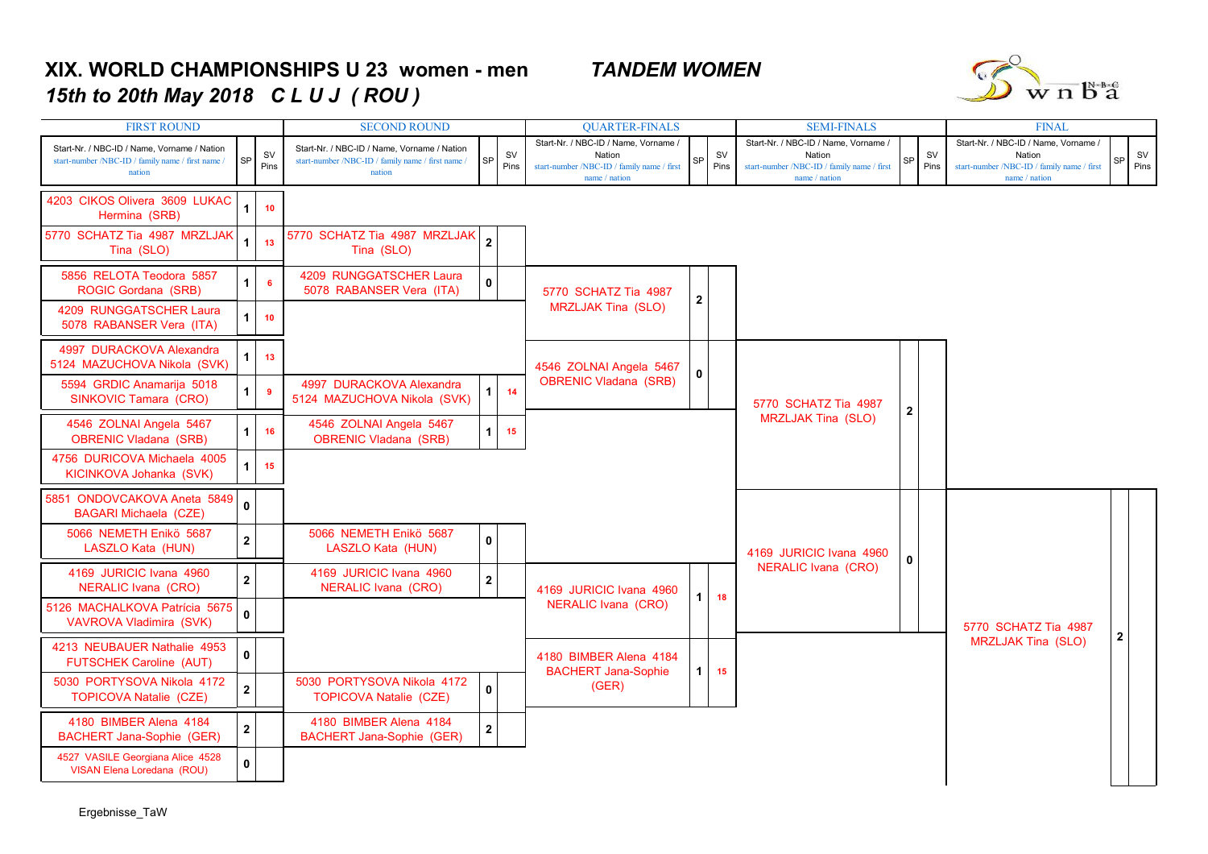## **XIX. WORLD CHAMPIONSHIPS U 23 women - men** *TANDEM WOMEN15th to 20th May 2018 C L U J ( ROU )*



| <b>FIRST ROUND</b>                                                                                         |                         |                   | <b>SECOND ROUND</b>                                                                                        |                         |                   | <b>QUARTER-FINALS</b>                                                                                         |              |                   | <b>SEMI-FINALS</b>                                                                                            | <b>FINAL</b> |                   |                                                                                                               |              |                   |
|------------------------------------------------------------------------------------------------------------|-------------------------|-------------------|------------------------------------------------------------------------------------------------------------|-------------------------|-------------------|---------------------------------------------------------------------------------------------------------------|--------------|-------------------|---------------------------------------------------------------------------------------------------------------|--------------|-------------------|---------------------------------------------------------------------------------------------------------------|--------------|-------------------|
| Start-Nr. / NBC-ID / Name, Vorname / Nation<br>start-number /NBC-ID / family name / first name /<br>nation | SP                      | <b>SV</b><br>Pins | Start-Nr. / NBC-ID / Name, Vorname / Nation<br>start-number /NBC-ID / family name / first name /<br>nation | SP                      | <b>SV</b><br>Pins | Start-Nr. / NBC-ID / Name. Vorname /<br>Nation<br>start-number /NBC-ID / family name / first<br>name / nation | SP           | <b>SV</b><br>Pins | Start-Nr. / NBC-ID / Name. Vorname /<br>Nation<br>start-number /NBC-ID / family name / first<br>name / nation | SP           | <b>SV</b><br>Pins | Start-Nr. / NBC-ID / Name. Vorname /<br>Nation<br>start-number /NBC-ID / family name / first<br>name / nation | 92           | <b>SV</b><br>Pins |
| 4203 CIKOS Olivera 3609 LUKAC<br>Hermina (SRB)                                                             | $\overline{1}$          | 10                |                                                                                                            |                         |                   |                                                                                                               |              |                   |                                                                                                               |              |                   |                                                                                                               |              |                   |
| 5770 SCHATZ Tia 4987 MRZLJAK<br>Tina (SLO)                                                                 | $\overline{1}$          | 13                | 5770 SCHATZ Tia 4987 MRZLJAK<br>Tina (SLO)                                                                 | $\overline{2}$          |                   |                                                                                                               |              |                   |                                                                                                               |              |                   |                                                                                                               |              |                   |
| 5856 RELOTA Teodora 5857<br>ROGIC Gordana (SRB)                                                            | $\mathbf{1}$            | 6                 | 4209 RUNGGATSCHER Laura<br>5078 RABANSER Vera (ITA)                                                        | 0                       |                   | 5770 SCHATZ Tia 4987<br><b>MRZLJAK Tina (SLO)</b>                                                             | $\mathbf{2}$ |                   |                                                                                                               |              |                   |                                                                                                               |              |                   |
| 4209 RUNGGATSCHER Laura<br>5078 RABANSER Vera (ITA)                                                        | $\mathbf{1}$            | 10                |                                                                                                            |                         |                   |                                                                                                               |              |                   |                                                                                                               |              |                   |                                                                                                               |              |                   |
| 4997 DURACKOVA Alexandra<br>5124 MAZUCHOVA Nikola (SVK)                                                    | $\mathbf{1}$            | 13                |                                                                                                            |                         |                   | 4546 ZOLNAI Angela 5467                                                                                       | 0            |                   |                                                                                                               |              |                   |                                                                                                               |              |                   |
| 5594 GRDIC Anamarija 5018<br>SINKOVIC Tamara (CRO)                                                         | $\mathbf{1}$            | -9                | 4997 DURACKOVA Alexandra<br>5124 MAZUCHOVA Nikola (SVK)                                                    | $\mathbf{1}$            | 14                | <b>OBRENIC Vladana (SRB)</b>                                                                                  |              |                   | 5770 SCHATZ Tia 4987                                                                                          | $\mathbf{2}$ |                   |                                                                                                               |              |                   |
| 4546 ZOLNAI Angela 5467<br><b>OBRENIC Vladana (SRB)</b>                                                    | $\mathbf 1$             | 16                | 4546 ZOLNAI Angela 5467<br><b>OBRENIC Vladana (SRB)</b>                                                    | $\mathbf{1}$            | 15                |                                                                                                               |              |                   | <b>MRZLJAK Tina (SLO)</b>                                                                                     |              |                   |                                                                                                               |              |                   |
| 4756 DURICOVA Michaela 4005<br>KICINKOVA Johanka (SVK)                                                     | $\mathbf{1}$            | 15                |                                                                                                            |                         |                   |                                                                                                               |              |                   |                                                                                                               |              |                   |                                                                                                               |              |                   |
| 5851 ONDOVCAKOVA Aneta 5849<br><b>BAGARI Michaela (CZE)</b>                                                | $\mathbf{0}$            |                   |                                                                                                            |                         |                   |                                                                                                               |              |                   |                                                                                                               |              |                   |                                                                                                               |              |                   |
| 5066 NEMETH Enikö 5687<br>LASZLO Kata (HUN)                                                                | $\overline{\mathbf{2}}$ |                   | 5066 NEMETH Enikö 5687<br>LASZLO Kata (HUN)                                                                | $\mathbf{0}$            |                   |                                                                                                               |              |                   | 4169 JURICIC Ivana 4960                                                                                       | 0            |                   |                                                                                                               |              |                   |
| 4169 JURICIC Ivana 4960<br><b>NERALIC Ivana (CRO)</b>                                                      | $\mathbf{2}$            |                   | 4169 JURICIC Ivana 4960<br>NERALIC Ivana (CRO)                                                             | $\overline{\mathbf{2}}$ |                   | 4169 JURICIC Ivana 4960<br>NERALIC Ivana (CRO)                                                                |              | 18                | NERALIC Ivana (CRO)                                                                                           |              |                   |                                                                                                               |              |                   |
| 5126 MACHALKOVA Patrícia 5675<br>VAVROVA Vladimira (SVK)                                                   | $\mathbf{0}$            |                   |                                                                                                            |                         |                   |                                                                                                               |              |                   |                                                                                                               |              |                   | 5770 SCHATZ Tia 4987                                                                                          |              |                   |
| 4213 NEUBAUER Nathalie 4953<br>FUTSCHEK Caroline (AUT)                                                     | $\mathbf 0$             |                   |                                                                                                            |                         |                   | 4180 BIMBER Alena 4184<br><b>BACHERT Jana-Sophie</b>                                                          | $\mathbf{1}$ | 15                |                                                                                                               |              |                   | <b>MRZLJAK Tina (SLO)</b>                                                                                     | $\mathbf{2}$ |                   |
| 5030 PORTYSOVA Nikola 4172<br><b>TOPICOVA Natalie (CZE)</b>                                                | $\mathbf{2}$            |                   | 5030 PORTYSOVA Nikola 4172<br><b>TOPICOVA Natalie (CZE)</b>                                                | $\mathbf{0}$            |                   | (GER)                                                                                                         |              |                   |                                                                                                               |              |                   |                                                                                                               |              |                   |
| 4180 BIMBER Alena 4184<br><b>BACHERT Jana-Sophie (GER)</b>                                                 | $\mathbf 2$             |                   | 4180 BIMBER Alena 4184<br><b>BACHERT Jana-Sophie (GER)</b>                                                 | $\mathbf 2$             |                   |                                                                                                               |              |                   |                                                                                                               |              |                   |                                                                                                               |              |                   |
| 4527 VASILE Georgiana Alice 4528<br><b>VISAN Elena Loredana (ROU)</b>                                      | $\mathbf{0}$            |                   |                                                                                                            |                         |                   |                                                                                                               |              |                   |                                                                                                               |              |                   |                                                                                                               |              |                   |